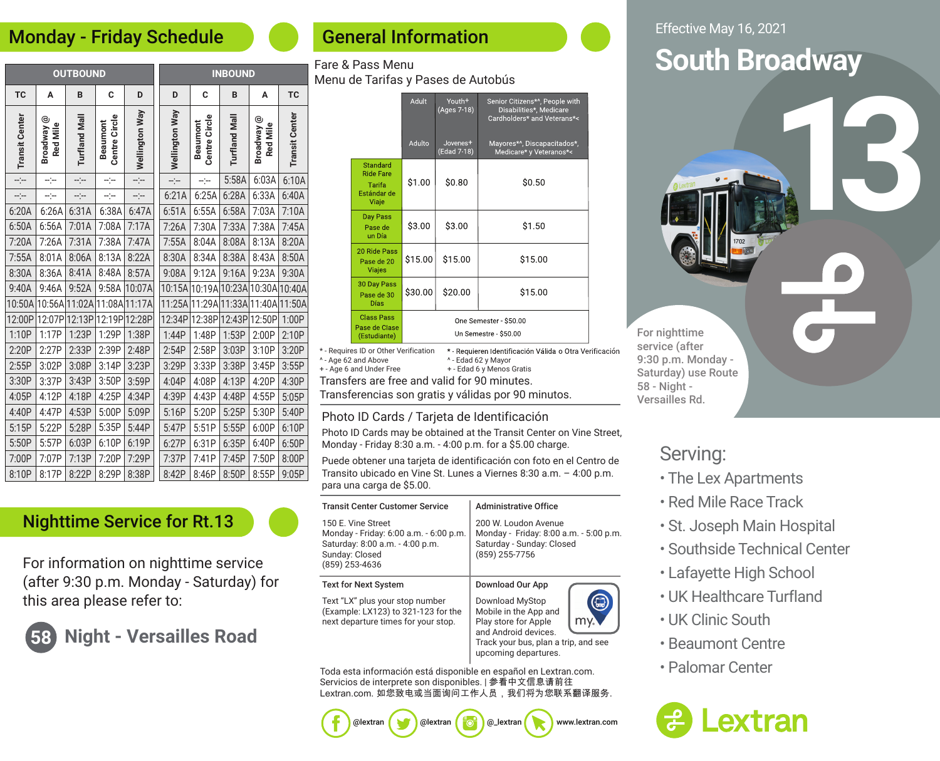#### Monday - Friday Schedule

| <b>OUTBOUND</b>       |                        |                     |                                  | <b>INBOUND</b> |                       |                           |                             |                        |                       |
|-----------------------|------------------------|---------------------|----------------------------------|----------------|-----------------------|---------------------------|-----------------------------|------------------------|-----------------------|
| TC                    | Α                      | B                   | C                                | D              | D                     | C                         | B                           | A                      | <b>TC</b>             |
| <b>Transit Center</b> | Broadway @<br>Red Mile | <b>Turfland Mal</b> | Centre Circle<br><b>Beaumont</b> | Wellington Way | <b>Wellington Way</b> | Centre Circle<br>Beaumont | <b>Turfland Mall</b>        | Broadway @<br>Red Mile | <b>Transit Center</b> |
| ---                   | ---                    | ÷                   | --                               | ---            | --                    | --)--                     | 5:58A                       | 6:03A                  | 6:10A                 |
| $-$                   | $-1$                   | $ -$                | ---                              | ----           | 6:21A                 | 6:25A                     | 6:28A                       | 6:33A                  | 6:40A                 |
| 6:20A                 | 6:26A                  | 6:31A               | 6:38A                            | 6:47A          | 6:51A                 | 6:55A                     | 6:58A                       | 7:03A                  | 7:10A                 |
| 6:50A                 | 6:56A                  | 7:01A               | 7:08A                            | 7:17A          | 7:26A                 | 7:30A                     | 7:33A                       | 7:38A                  | 7:45A                 |
| 7:20A                 | 7:26A                  | 7:31A               | 7:38A                            | 7:47A          | 7:55A                 | 8:04A                     | 8:08A                       | 8:13A                  | 8:20A                 |
| 7:55A                 | 8:01A                  | 8:06A               | 8:13A                            | 8:22A          | 8:30A                 | 8:34A                     | 8:38A                       | 8:43A                  | 8:50A                 |
| 8:30A                 | 8:36A                  | 8:41A               | 8:48A                            | 8:57A          | 9:08A                 | 9:12A                     | 9:16A                       | 9:23A                  | 9:30A                 |
| 9:40A                 | 9:46A                  | 9:52A               | 9:58A                            | 10:07A         | 10:15A                | 10:19A                    | 10:23A                      | 10:30A 10:40A          |                       |
| 10:50A                | 10:56A                 | 11:02A              |                                  | 11:08A 11:17A  | 11:25A                |                           | 11:29A 11:33A 11:40A 11:50A |                        |                       |
| 12:00P                | 12:07P                 | 12:13P              | 12:19P                           | 12:28P         | 12:34P                | 12:38P                    | 12:43P                      | 12:50P                 | 1:00P                 |
| 1:10P                 | 1:17P                  | 1:23P               | 1:29P                            | 1:38P          | 1:44P                 | 1:48P                     | 1:53P                       | 2:00P                  | 2:10P                 |
| 2:20P                 | 2:27P                  | 2:33P               | 2:39P                            | 2:48P          | 2:54P                 | 2:58P                     | 3:03P                       | 3:10P                  | 3:20P                 |
| 2:55P                 | 3:02P                  | 3:08P               | 3:14P                            | 3:23P          | 3:29P                 | 3:33P                     | 3:38P                       | 3:45P                  | 3:55P                 |
| 3:30P                 | 3:37P                  | 3:43P               | 3:50P                            | 3:59P          | 4:04P                 | 4:08P                     | 4:13P                       | 4:20P                  | 4:30P                 |
| 4:05P                 | 4:12P                  | 4:18P               | 4:25P                            | 4:34P          | 4:39P                 | 4:43P                     | 4:48P                       | 4:55P                  | 5:05P                 |
| 4:40P                 | 4:47P                  | 4:53P               | 5:00P                            | 5:09P          | 5:16P                 | 5:20P                     | 5:25P                       | 5:30P                  | 5:40P                 |
| 5:15P                 | 5:22P                  | 5:28P               | 5:35P                            | 5:44P          | 5:47P                 | 5:51P                     | 5:55P                       | 6:00P                  | 6:10P                 |
| 5:50P                 | 5:57P                  | 6:03P               | 6:10P                            | 6:19P          | 6:27P                 | 6:31P                     | 6:35P                       | 6:40P                  | 6:50P                 |
| 7:00P                 | 7:07P                  | 7:13P               | 7:20P                            | 7:29P          | 7:37P                 | 7:41P                     | 7:45P                       | 7:50P                  | 8:00P                 |
| 8:10P                 | 8:17P                  | 8:22P               | 8:29P                            | 8:38P          | 8:42P                 | 8:46P                     | 8:50P                       | 8:55P                  | 9:05P                 |

#### Nighttime Service for Rt.13

For information on nighttime service (after 9:30 p.m. Monday - Saturday) for this area please refer to:

## **58 Night - Versailles Road**

### General Information

#### Fare & Pass Menu Menu de Tarifas y Pases de Autobús

|                                                                                  | Adult                                         | Youth <sup>+</sup><br>(Ages 7-18)   | Senior Citizens*^, People with<br>Disabilities*, Medicare<br>Cardholders* and Veterans*< |  |
|----------------------------------------------------------------------------------|-----------------------------------------------|-------------------------------------|------------------------------------------------------------------------------------------|--|
|                                                                                  | Adulto                                        | Jovenes <sup>+</sup><br>(Edad 7-18) | Mayores*^, Discapacitados*,<br>Medicare* y Veteranos*<                                   |  |
| Standard<br><b>Ride Fare</b><br>Tarifa<br>Estándar de<br>Viaje                   | \$1.00                                        | \$0.80                              | \$0.50                                                                                   |  |
| Day Pass<br>Pase de<br>un Día                                                    | \$3.00                                        | \$3.00                              | \$1.50                                                                                   |  |
| 20 Ride Pass<br>Pase de 20<br><b>Viajes</b>                                      | \$15.00                                       | \$15.00                             | \$15.00                                                                                  |  |
| 30 Day Pass<br>Pase de 30<br>Días                                                | \$30.00                                       | \$20.00                             | \$15.00                                                                                  |  |
| <b>Class Pass</b><br>Pase de Clase<br>(Estudiante)                               | One Semester \$50.00<br>Un Semestre - \$50.00 |                                     |                                                                                          |  |
| uires ID or Other Verification<br>* Requieren Identificación Válida o Otra Verif |                                               |                                     |                                                                                          |  |

 $*$  - Reg ficación ^ - Age 62 and Above ^ - Edad 62 y Mayor + - Age 6 and Under Free + - Edad 6 y Menos Gratis Transfers are free and valid for 90 minutes.

Transferencias son gratis y válidas por 90 minutos.

#### Photo ID Cards / Tarjeta de Identificación

Photo ID Cards may be obtained at the Transit Center on Vine Street, Monday - Friday 8:30 a.m. - 4:00 p.m. for a \$5.00 charge.

Puede obtener una tarjeta de identificación con foto en el Centro de Transito ubicado en Vine St. Lunes a Viernes 8:30 a.m. – 4:00 p.m. para una carga de \$5.00.

| <b>Transit Center Customer Service</b>                                                                                              | <b>Administrative Office</b>                                                                                                                             |  |  |
|-------------------------------------------------------------------------------------------------------------------------------------|----------------------------------------------------------------------------------------------------------------------------------------------------------|--|--|
| 150 E. Vine Street<br>Monday - Friday: 6:00 a.m. - 6:00 p.m.<br>Saturday: 8:00 a.m. - 4:00 p.m.<br>Sunday: Closed<br>(859) 253-4636 | 200 W. Loudon Avenue<br>Monday - Friday: 8:00 a.m. - 5:00 p.m.<br>Saturday - Sunday: Closed<br>(859) 255-7756                                            |  |  |
| Text for Next System                                                                                                                | Download Our App                                                                                                                                         |  |  |
| Text "LX" plus your stop number<br>(Example: LX123) to 321-123 for the<br>next departure times for your stop.                       | Download MyStop<br>Mobile in the App and<br>Play store for Apple<br>and Android devices.<br>Track your bus, plan a trip, and see<br>upcoming departures. |  |  |

Toda esta información está disponible en español en Lextran.com. Servicios de interprete son disponibles. | 参看中文信息请前往 Lextran.com. 如您致电或当面询问工作人员, 我们将为您联系翻译服务.

@lextran **800** @lextran **@** @\_lextran www.lextran.com

Effective May 16, 2021

# **South Broadway**

**13**

For nighttime service (after 9:30 p.m. Monday - Saturday) use Route 58 - Night - Versailles Rd.

## Serving:

- The Lex Apartments
- Red Mile Race Track
- St. Joseph Main Hospital
- Southside Technical Center
- Lafayette High School
- UK Healthcare Turfland
- UK Clinic South
- Beaumont Centre
- Palomar Center